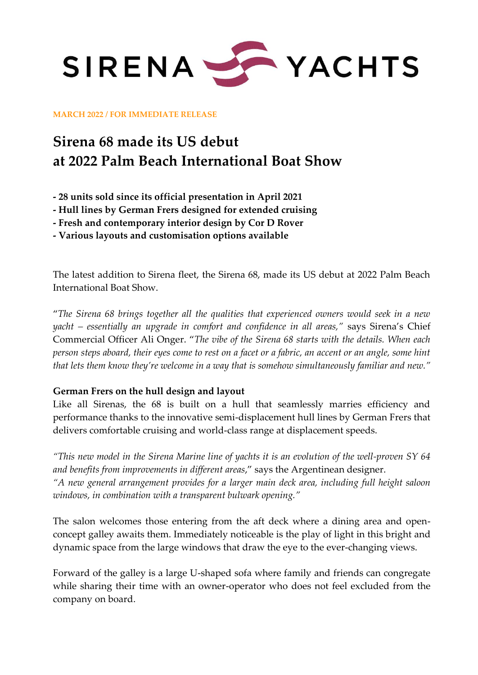

**MARCH 2022 / FOR IMMEDIATE RELEASE**

## **Sirena 68 made its US debut at 2022 Palm Beach International Boat Show**

**- 28 units sold since its official presentation in April 2021**

- **- Hull lines by German Frers designed for extended cruising**
- **- Fresh and contemporary interior design by Cor D Rover**

**- Various layouts and customisation options available** 

The latest addition to Sirena fleet, the Sirena 68, made its US debut at 2022 Palm Beach International Boat Show.

"*The Sirena 68 brings together all the qualities that experienced owners would seek in a new yacht – essentially an upgrade in comfort and confidence in all areas,"* says Sirena's Chief Commercial Officer Ali Onger. "*The vibe of the Sirena 68 starts with the details. When each person steps aboard, their eyes come to rest on a facet or a fabric, an accent or an angle, some hint that lets them know they're welcome in a way that is somehow simultaneously familiar and new."*

### **German Frers on the hull design and layout**

Like all Sirenas, the 68 is built on a hull that seamlessly marries efficiency and performance thanks to the innovative semi-displacement hull lines by German Frers that delivers comfortable cruising and world-class range at displacement speeds.

*"This new model in the Sirena Marine line of yachts it is an evolution of the well-proven SY 64 and benefits from improvements in different areas*," says the Argentinean designer. *"A new general arrangement provides for a larger main deck area, including full height saloon windows, in combination with a transparent bulwark opening."* 

The salon welcomes those entering from the aft deck where a dining area and openconcept galley awaits them. Immediately noticeable is the play of light in this bright and dynamic space from the large windows that draw the eye to the ever-changing views.

Forward of the galley is a large U-shaped sofa where family and friends can congregate while sharing their time with an owner-operator who does not feel excluded from the company on board.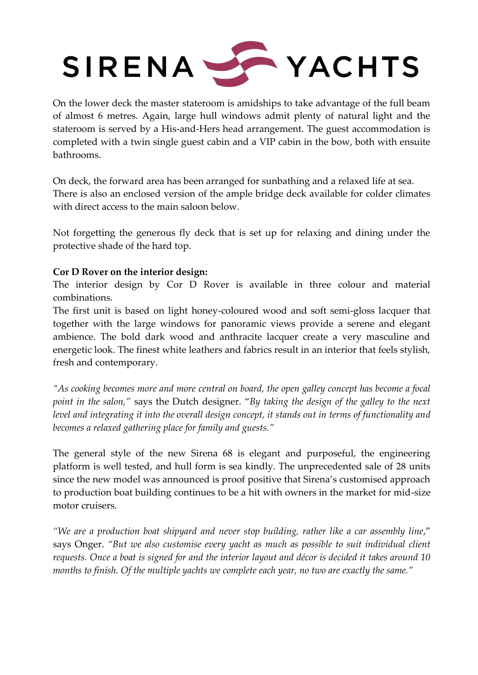# SIRENA STACHTS

On the lower deck the master stateroom is amidships to take advantage of the full beam of almost 6 metres. Again, large hull windows admit plenty of natural light and the stateroom is served by a His-and-Hers head arrangement. The guest accommodation is completed with a twin single guest cabin and a VIP cabin in the bow, both with ensuite bathrooms.

On deck, the forward area has been arranged for sunbathing and a relaxed life at sea. There is also an enclosed version of the ample bridge deck available for colder climates with direct access to the main saloon below.

Not forgetting the generous fly deck that is set up for relaxing and dining under the protective shade of the hard top.

### **Cor D Rover on the interior design:**

The interior design by Cor D Rover is available in three colour and material combinations.

The first unit is based on light honey-coloured wood and soft semi-gloss lacquer that together with the large windows for panoramic views provide a serene and elegant ambience. The bold dark wood and anthracite lacquer create a very masculine and energetic look. The finest white leathers and fabrics result in an interior that feels stylish, fresh and contemporary.

*"As cooking becomes more and more central on board, the open galley concept has become a focal point in the salon,"* says the Dutch designer. "*By taking the design of the galley to the next level and integrating it into the overall design concept, it stands out in terms of functionality and becomes a relaxed gathering place for family and guests."*

The general style of the new Sirena 68 is elegant and purposeful, the engineering platform is well tested, and hull form is sea kindly. The unprecedented sale of 28 units since the new model was announced is proof positive that Sirena's customised approach to production boat building continues to be a hit with owners in the market for mid-size motor cruisers.

*"We are a production boat shipyard and never stop building, rather like a car assembly line*," says Onger. *"But we also customise every yacht as much as possible to suit individual client requests. Once a boat is signed for and the interior layout and décor is decided it takes around 10 months to finish. Of the multiple yachts we complete each year, no two are exactly the same."*